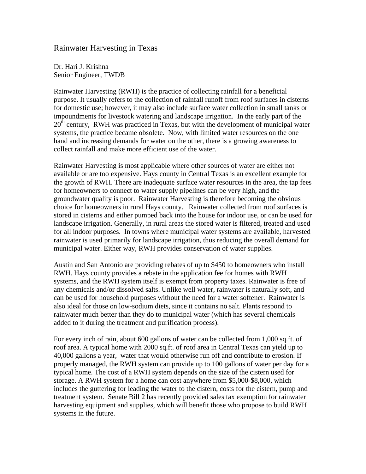## Rainwater Harvesting in Texas

Dr. Hari J. Krishna Senior Engineer, TWDB

Rainwater Harvesting (RWH) is the practice of collecting rainfall for a beneficial purpose. It usually refers to the collection of rainfall runoff from roof surfaces in cisterns for domestic use; however, it may also include surface water collection in small tanks or impoundments for livestock watering and landscape irrigation. In the early part of the  $20<sup>th</sup>$  century, RWH was practiced in Texas, but with the development of municipal water systems, the practice became obsolete. Now, with limited water resources on the one hand and increasing demands for water on the other, there is a growing awareness to collect rainfall and make more efficient use of the water.

Rainwater Harvesting is most applicable where other sources of water are either not available or are too expensive. Hays county in Central Texas is an excellent example for the growth of RWH. There are inadequate surface water resources in the area, the tap fees for homeowners to connect to water supply pipelines can be very high, and the groundwater quality is poor. Rainwater Harvesting is therefore becoming the obvious choice for homeowners in rural Hays county. Rainwater collected from roof surfaces is stored in cisterns and either pumped back into the house for indoor use, or can be used for landscape irrigation. Generally, in rural areas the stored water is filtered, treated and used for all indoor purposes. In towns where municipal water systems are available, harvested rainwater is used primarily for landscape irrigation, thus reducing the overall demand for municipal water. Either way, RWH provides conservation of water supplies.

Austin and San Antonio are providing rebates of up to \$450 to homeowners who install RWH. Hays county provides a rebate in the application fee for homes with RWH systems, and the RWH system itself is exempt from property taxes. Rainwater is free of any chemicals and/or dissolved salts. Unlike well water, rainwater is naturally soft, and can be used for household purposes without the need for a water softener. Rainwater is also ideal for those on low-sodium diets, since it contains no salt. Plants respond to rainwater much better than they do to municipal water (which has several chemicals added to it during the treatment and purification process).

For every inch of rain, about 600 gallons of water can be collected from 1,000 sq.ft. of roof area. A typical home with 2000 sq.ft. of roof area in Central Texas can yield up to 40,000 gallons a year, water that would otherwise run off and contribute to erosion. If properly managed, the RWH system can provide up to 100 gallons of water per day for a typical home. The cost of a RWH system depends on the size of the cistern used for storage. A RWH system for a home can cost anywhere from \$5,000-\$8,000, which includes the guttering for leading the water to the cistern, costs for the cistern, pump and treatment system. Senate Bill 2 has recently provided sales tax exemption for rainwater harvesting equipment and supplies, which will benefit those who propose to build RWH systems in the future.